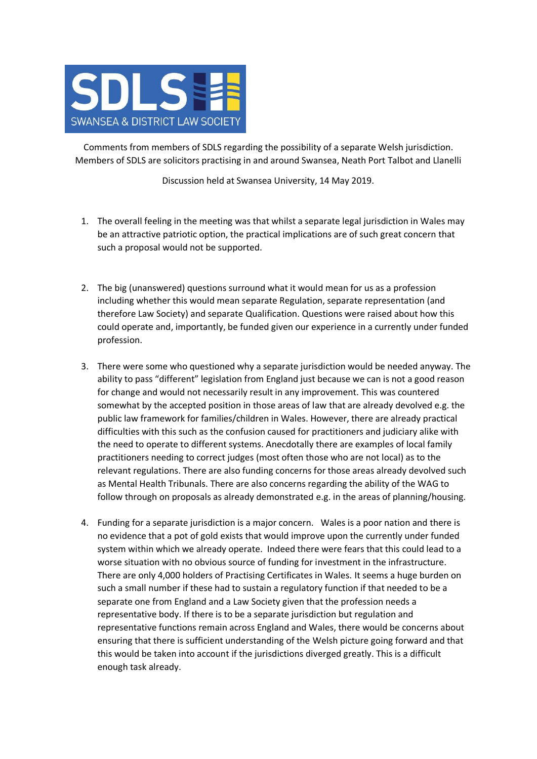

Comments from members of SDLS regarding the possibility of a separate Welsh jurisdiction. Members of SDLS are solicitors practising in and around Swansea, Neath Port Talbot and Llanelli

Discussion held at Swansea University, 14 May 2019.

- 1. The overall feeling in the meeting was that whilst a separate legal jurisdiction in Wales may be an attractive patriotic option, the practical implications are of such great concern that such a proposal would not be supported.
- 2. The big (unanswered) questions surround what it would mean for us as a profession including whether this would mean separate Regulation, separate representation (and therefore Law Society) and separate Qualification. Questions were raised about how this could operate and, importantly, be funded given our experience in a currently under funded profession.
- 3. There were some who questioned why a separate jurisdiction would be needed anyway. The ability to pass "different" legislation from England just because we can is not a good reason for change and would not necessarily result in any improvement. This was countered somewhat by the accepted position in those areas of law that are already devolved e.g. the public law framework for families/children in Wales. However, there are already practical difficulties with this such as the confusion caused for practitioners and judiciary alike with the need to operate to different systems. Anecdotally there are examples of local family practitioners needing to correct judges (most often those who are not local) as to the relevant regulations. There are also funding concerns for those areas already devolved such as Mental Health Tribunals. There are also concerns regarding the ability of the WAG to follow through on proposals as already demonstrated e.g. in the areas of planning/housing.
- 4. Funding for a separate jurisdiction is a major concern. Wales is a poor nation and there is no evidence that a pot of gold exists that would improve upon the currently under funded system within which we already operate. Indeed there were fears that this could lead to a worse situation with no obvious source of funding for investment in the infrastructure. There are only 4,000 holders of Practising Certificates in Wales. It seems a huge burden on such a small number if these had to sustain a regulatory function if that needed to be a separate one from England and a Law Society given that the profession needs a representative body. If there is to be a separate jurisdiction but regulation and representative functions remain across England and Wales, there would be concerns about ensuring that there is sufficient understanding of the Welsh picture going forward and that this would be taken into account if the jurisdictions diverged greatly. This is a difficult enough task already.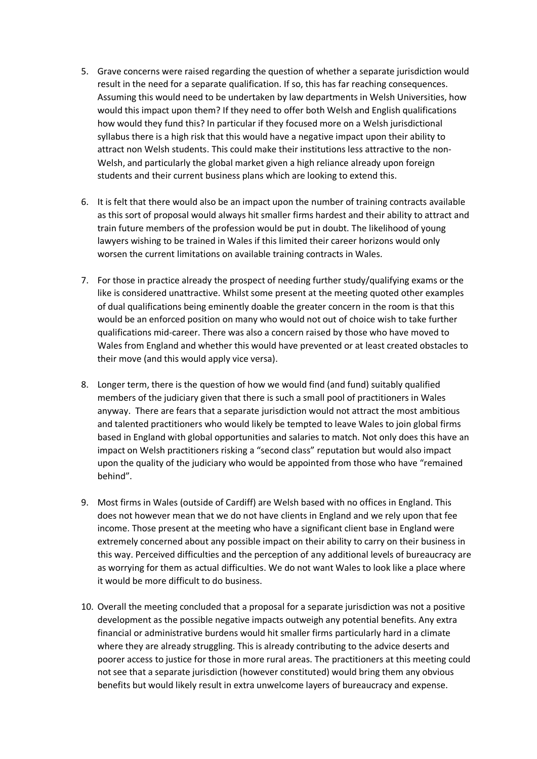- 5. Grave concerns were raised regarding the question of whether a separate jurisdiction would result in the need for a separate qualification. If so, this has far reaching consequences. Assuming this would need to be undertaken by law departments in Welsh Universities, how would this impact upon them? If they need to offer both Welsh and English qualifications how would they fund this? In particular if they focused more on a Welsh jurisdictional syllabus there is a high risk that this would have a negative impact upon their ability to attract non Welsh students. This could make their institutions less attractive to the non-Welsh, and particularly the global market given a high reliance already upon foreign students and their current business plans which are looking to extend this.
- 6. It is felt that there would also be an impact upon the number of training contracts available as this sort of proposal would always hit smaller firms hardest and their ability to attract and train future members of the profession would be put in doubt. The likelihood of young lawyers wishing to be trained in Wales if this limited their career horizons would only worsen the current limitations on available training contracts in Wales.
- 7. For those in practice already the prospect of needing further study/qualifying exams or the like is considered unattractive. Whilst some present at the meeting quoted other examples of dual qualifications being eminently doable the greater concern in the room is that this would be an enforced position on many who would not out of choice wish to take further qualifications mid-career. There was also a concern raised by those who have moved to Wales from England and whether this would have prevented or at least created obstacles to their move (and this would apply vice versa).
- 8. Longer term, there is the question of how we would find (and fund) suitably qualified members of the judiciary given that there is such a small pool of practitioners in Wales anyway. There are fears that a separate jurisdiction would not attract the most ambitious and talented practitioners who would likely be tempted to leave Wales to join global firms based in England with global opportunities and salaries to match. Not only does this have an impact on Welsh practitioners risking a "second class" reputation but would also impact upon the quality of the judiciary who would be appointed from those who have "remained behind".
- 9. Most firms in Wales (outside of Cardiff) are Welsh based with no offices in England. This does not however mean that we do not have clients in England and we rely upon that fee income. Those present at the meeting who have a significant client base in England were extremely concerned about any possible impact on their ability to carry on their business in this way. Perceived difficulties and the perception of any additional levels of bureaucracy are as worrying for them as actual difficulties. We do not want Wales to look like a place where it would be more difficult to do business.
- 10. Overall the meeting concluded that a proposal for a separate jurisdiction was not a positive development as the possible negative impacts outweigh any potential benefits. Any extra financial or administrative burdens would hit smaller firms particularly hard in a climate where they are already struggling. This is already contributing to the advice deserts and poorer access to justice for those in more rural areas. The practitioners at this meeting could not see that a separate jurisdiction (however constituted) would bring them any obvious benefits but would likely result in extra unwelcome layers of bureaucracy and expense.